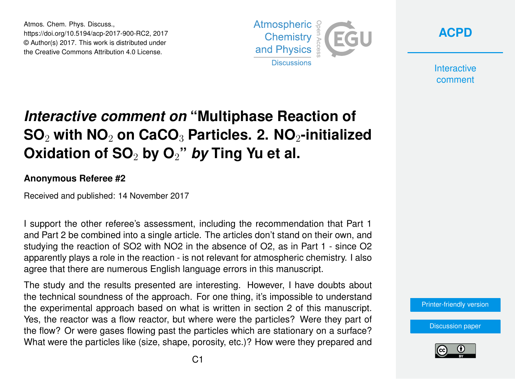Atmos. Chem. Phys. Discuss., https://doi.org/10.5194/acp-2017-900-RC2, 2017 © Author(s) 2017. This work is distributed under the Creative Commons Attribution 4.0 License.





**Interactive** comment

## *Interactive comment on* **"Multiphase Reaction of SO**<sup>2</sup> **with NO**<sup>2</sup> **on CaCO**<sup>3</sup> **Particles. 2. NO**2**-initialized Oxidation of SO**<sup>2</sup> **by O**2**"** *by* **Ting Yu et al.**

## **Anonymous Referee #2**

Received and published: 14 November 2017

I support the other referee's assessment, including the recommendation that Part 1 and Part 2 be combined into a single article. The articles don't stand on their own, and studying the reaction of SO2 with NO2 in the absence of O2, as in Part 1 - since O2 apparently plays a role in the reaction - is not relevant for atmospheric chemistry. I also agree that there are numerous English language errors in this manuscript.

The study and the results presented are interesting. However, I have doubts about the technical soundness of the approach. For one thing, it's impossible to understand the experimental approach based on what is written in section 2 of this manuscript. Yes, the reactor was a flow reactor, but where were the particles? Were they part of the flow? Or were gases flowing past the particles which are stationary on a surface? What were the particles like (size, shape, porosity, etc.)? How were they prepared and

[Printer-friendly version](https://www.atmos-chem-phys-discuss.net/acp-2017-900/acp-2017-900-RC2-print.pdf)

[Discussion paper](https://www.atmos-chem-phys-discuss.net/acp-2017-900)